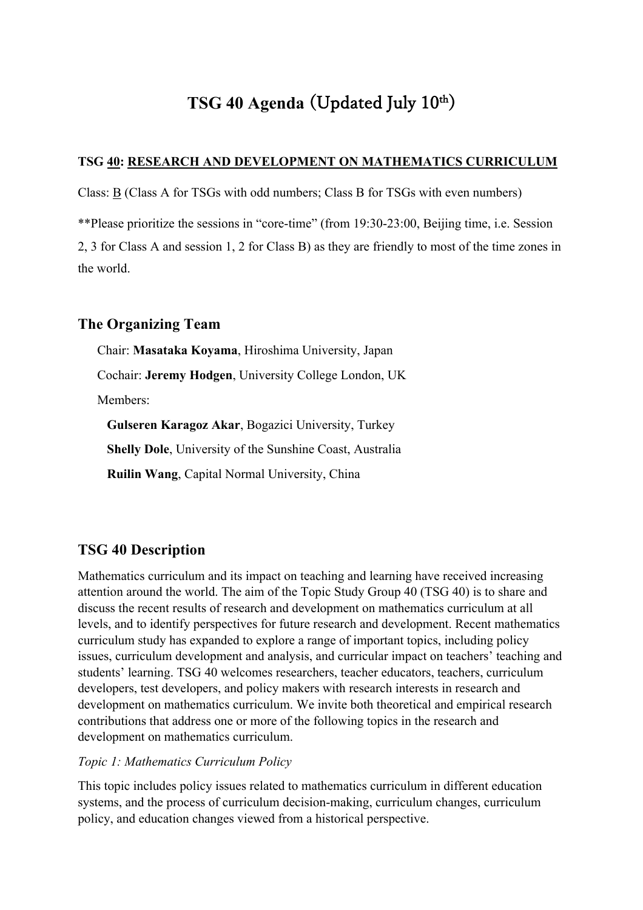# **TSG 40 Agenda** (Updated July 10th)

#### **TSG 40: RESEARCH AND DEVELOPMENT ON MATHEMATICS CURRICULUM**

Class: B (Class A for TSGs with odd numbers; Class B for TSGs with even numbers)

\*\*Please prioritize the sessions in "core-time" (from 19:30-23:00, Beijing time, i.e. Session

2, 3 for Class A and session 1, 2 for Class B) as they are friendly to most of the time zones in the world.

### **The Organizing Team**

Chair: **Masataka Koyama**, Hiroshima University, Japan Cochair: **Jeremy Hodgen**, University College London, UK Members: **Gulseren Karagoz Akar**, Bogazici University, Turkey **Shelly Dole**, University of the Sunshine Coast, Australia

**Ruilin Wang**, Capital Normal University, China

### **TSG 40 Description**

Mathematics curriculum and its impact on teaching and learning have received increasing attention around the world. The aim of the Topic Study Group 40 (TSG 40) is to share and discuss the recent results of research and development on mathematics curriculum at all levels, and to identify perspectives for future research and development. Recent mathematics curriculum study has expanded to explore a range of important topics, including policy issues, curriculum development and analysis, and curricular impact on teachers' teaching and students' learning. TSG 40 welcomes researchers, teacher educators, teachers, curriculum developers, test developers, and policy makers with research interests in research and development on mathematics curriculum. We invite both theoretical and empirical research contributions that address one or more of the following topics in the research and development on mathematics curriculum.

#### *Topic 1: Mathematics Curriculum Policy*

This topic includes policy issues related to mathematics curriculum in different education systems, and the process of curriculum decision-making, curriculum changes, curriculum policy, and education changes viewed from a historical perspective.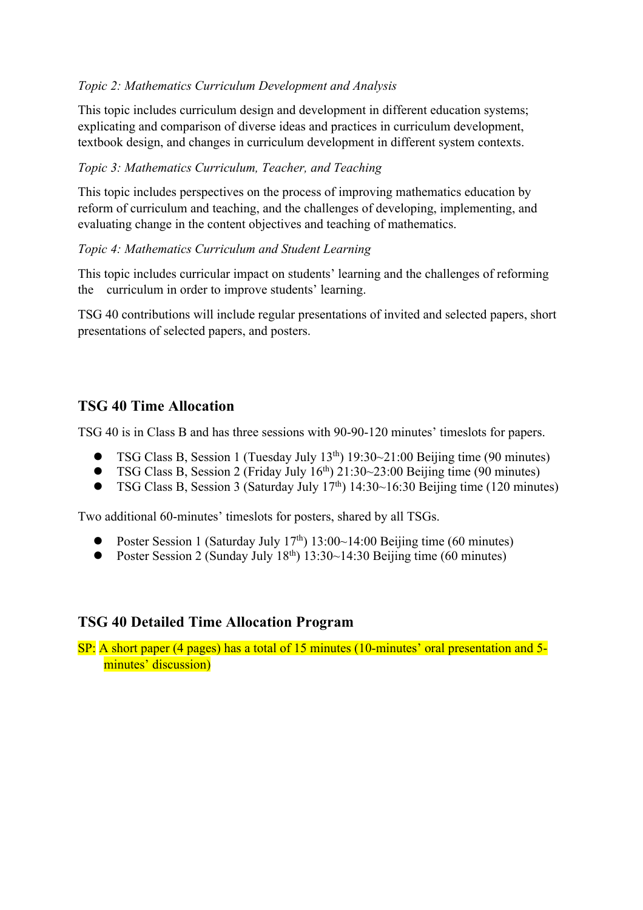### *Topic 2: Mathematics Curriculum Development and Analysis*

This topic includes curriculum design and development in different education systems; explicating and comparison of diverse ideas and practices in curriculum development, textbook design, and changes in curriculum development in different system contexts.

### *Topic 3: Mathematics Curriculum, Teacher, and Teaching*

This topic includes perspectives on the process of improving mathematics education by reform of curriculum and teaching, and the challenges of developing, implementing, and evaluating change in the content objectives and teaching of mathematics.

### *Topic 4: Mathematics Curriculum and Student Learning*

This topic includes curricular impact on students' learning and the challenges of reforming the curriculum in order to improve students' learning.

TSG 40 contributions will include regular presentations of invited and selected papers, short presentations of selected papers, and posters.

## **TSG 40 Time Allocation**

TSG 40 is in Class B and has three sessions with 90-90-120 minutes' timeslots for papers.

- TSG Class B, Session 1 (Tuesday July 13<sup>th</sup>) 19:30~21:00 Beijing time (90 minutes)
- TSG Class B, Session 2 (Friday July  $16<sup>th</sup>$ ) 21:30~23:00 Beijing time (90 minutes)
- TSG Class B, Session 3 (Saturday July  $17<sup>th</sup>$ ) 14:30~16:30 Beijing time (120 minutes)

Two additional 60-minutes' timeslots for posters, shared by all TSGs.

- Poster Session 1 (Saturday July  $17<sup>th</sup>$ ) 13:00~14:00 Beijing time (60 minutes)
- Poster Session 2 (Sunday July  $18<sup>th</sup>$ ) 13:30~14:30 Beijing time (60 minutes)

## **TSG 40 Detailed Time Allocation Program**

SP: A short paper (4 pages) has a total of 15 minutes (10-minutes' oral presentation and 5minutes' discussion)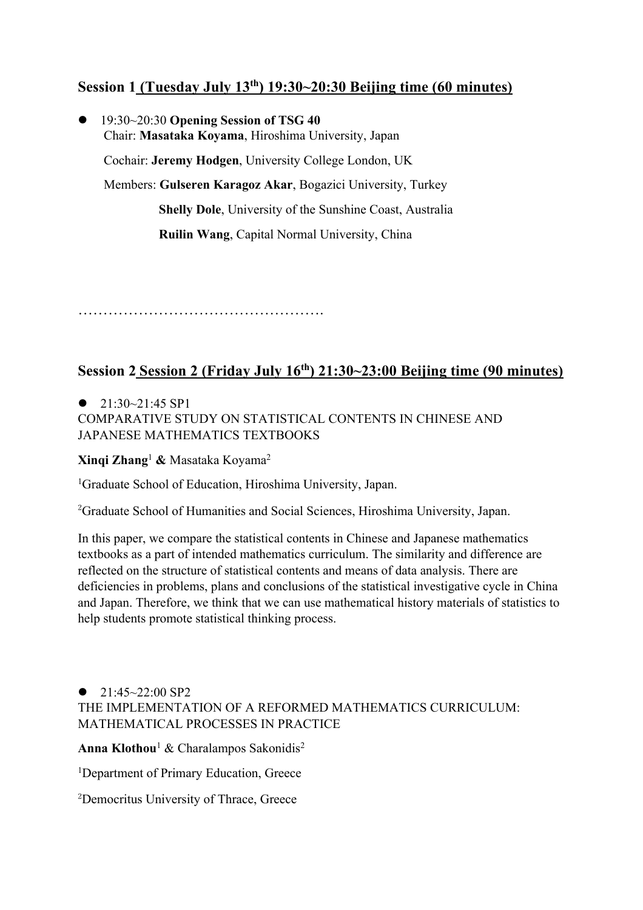## **Session 1 (Tuesday July 13th) 19:30~20:30 Beijing time (60 minutes)**

l 19:30~20:30 **Opening Session of TSG 40** Chair: **Masataka Koyama**, Hiroshima University, Japan Cochair: **Jeremy Hodgen**, University College London, UK Members: **Gulseren Karagoz Akar**, Bogazici University, Turkey **Shelly Dole**, University of the Sunshine Coast, Australia **Ruilin Wang**, Capital Normal University, China

………………………………………….

### **Session 2 Session 2 (Friday July 16th) 21:30~23:00 Beijing time (90 minutes)**

 $\bullet$  21:30~21:45 SP1 COMPARATIVE STUDY ON STATISTICAL CONTENTS IN CHINESE AND JAPANESE MATHEMATICS TEXTBOOKS

**Xinqi Zhang**<sup>1</sup> **&** Masataka Koyama2

<sup>1</sup>Graduate School of Education, Hiroshima University, Japan.

2 Graduate School of Humanities and Social Sciences, Hiroshima University, Japan.

In this paper, we compare the statistical contents in Chinese and Japanese mathematics textbooks as a part of intended mathematics curriculum. The similarity and difference are reflected on the structure of statistical contents and means of data analysis. There are deficiencies in problems, plans and conclusions of the statistical investigative cycle in China and Japan. Therefore, we think that we can use mathematical history materials of statistics to help students promote statistical thinking process.

### $\bullet$  21:45~22:00 SP2 THE IMPLEMENTATION OF A REFORMED MATHEMATICS CURRICULUM: MATHEMATICAL PROCESSES IN PRACTICE

**Anna Klothou**<sup>1</sup> & Charalampos Sakonidis2

<sup>1</sup>Department of Primary Education, Greece

2 Democritus University of Thrace, Greece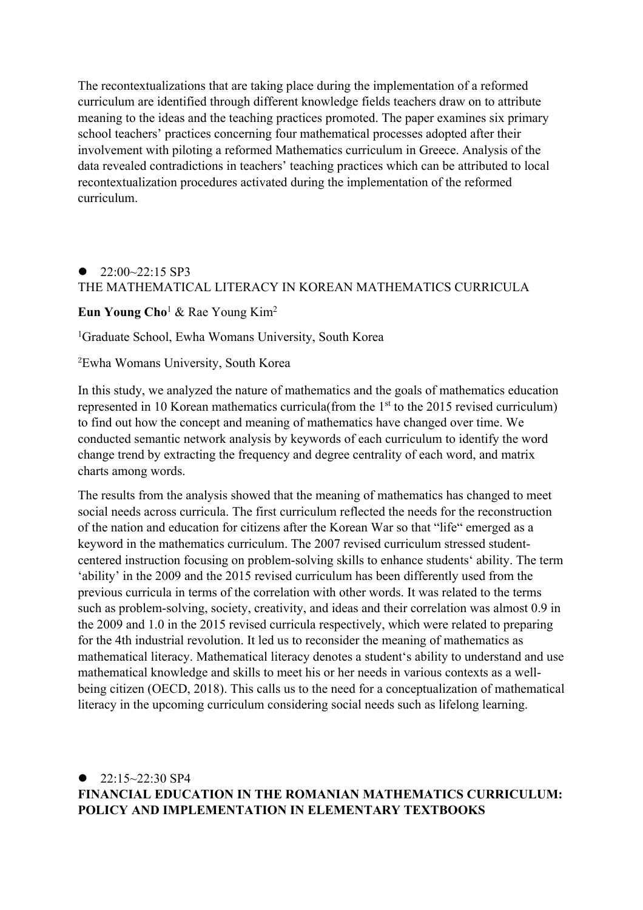The recontextualizations that are taking place during the implementation of a reformed curriculum are identified through different knowledge fields teachers draw on to attribute meaning to the ideas and the teaching practices promoted. The paper examines six primary school teachers' practices concerning four mathematical processes adopted after their involvement with piloting a reformed Mathematics curriculum in Greece. Analysis of the data revealed contradictions in teachers' teaching practices which can be attributed to local recontextualization procedures activated during the implementation of the reformed curriculum.

### $\bullet$  22:00~22:15 SP3 THE MATHEMATICAL LITERACY IN KOREAN MATHEMATICS CURRICULA

**Eun Young Cho**<sup>1</sup> & Rae Young Kim2

1 Graduate School, Ewha Womans University, South Korea

2 Ewha Womans University, South Korea

In this study, we analyzed the nature of mathematics and the goals of mathematics education represented in 10 Korean mathematics curricula(from the  $1<sup>st</sup>$  to the 2015 revised curriculum) to find out how the concept and meaning of mathematics have changed over time. We conducted semantic network analysis by keywords of each curriculum to identify the word change trend by extracting the frequency and degree centrality of each word, and matrix charts among words.

The results from the analysis showed that the meaning of mathematics has changed to meet social needs across curricula. The first curriculum reflected the needs for the reconstruction of the nation and education for citizens after the Korean War so that "life" emerged as a keyword in the mathematics curriculum. The 2007 revised curriculum stressed studentcentered instruction focusing on problem-solving skills to enhance students' ability. The term 'ability' in the 2009 and the 2015 revised curriculum has been differently used from the previous curricula in terms of the correlation with other words. It was related to the terms such as problem-solving, society, creativity, and ideas and their correlation was almost 0.9 in the 2009 and 1.0 in the 2015 revised curricula respectively, which were related to preparing for the 4th industrial revolution. It led us to reconsider the meaning of mathematics as mathematical literacy. Mathematical literacy denotes a student's ability to understand and use mathematical knowledge and skills to meet his or her needs in various contexts as a wellbeing citizen (OECD, 2018). This calls us to the need for a conceptualization of mathematical literacy in the upcoming curriculum considering social needs such as lifelong learning.

### $22.15 - 22.30$  SP4 **FINANCIAL EDUCATION IN THE ROMANIAN MATHEMATICS CURRICULUM: POLICY AND IMPLEMENTATION IN ELEMENTARY TEXTBOOKS**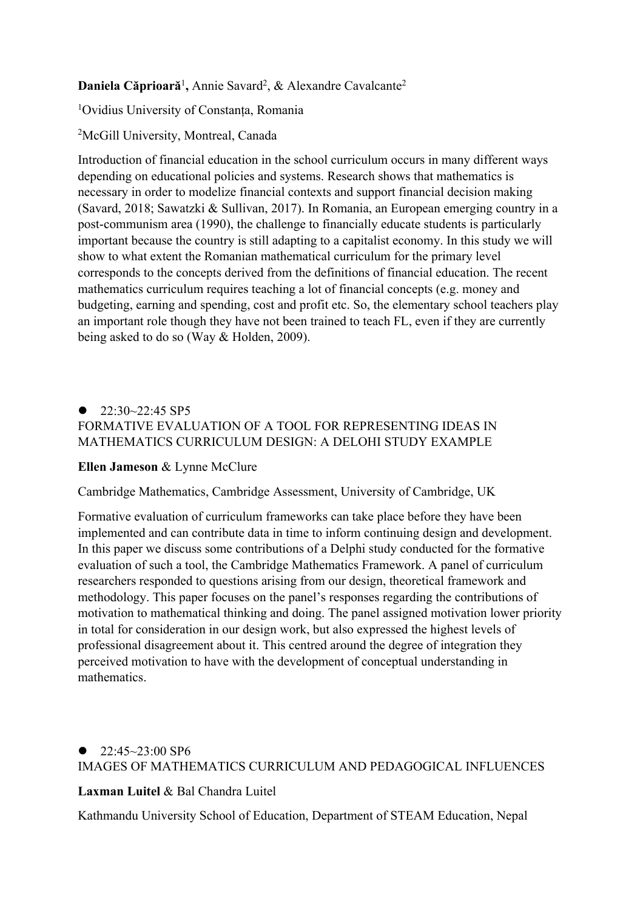Daniela Căprioară<sup>1</sup>, Annie Savard<sup>2</sup>, & Alexandre Cavalcante<sup>2</sup>

1 Ovidius University of Constanța, Romania

2 McGill University, Montreal, Canada

Introduction of financial education in the school curriculum occurs in many different ways depending on educational policies and systems. Research shows that mathematics is necessary in order to modelize financial contexts and support financial decision making (Savard, 2018; Sawatzki & Sullivan, 2017). In Romania, an European emerging country in a post-communism area (1990), the challenge to financially educate students is particularly important because the country is still adapting to a capitalist economy. In this study we will show to what extent the Romanian mathematical curriculum for the primary level corresponds to the concepts derived from the definitions of financial education. The recent mathematics curriculum requires teaching a lot of financial concepts (e.g. money and budgeting, earning and spending, cost and profit etc. So, the elementary school teachers play an important role though they have not been trained to teach FL, even if they are currently being asked to do so (Way & Holden, 2009).

## $\bullet$  22:30~22:45 SP5 FORMATIVE EVALUATION OF A TOOL FOR REPRESENTING IDEAS IN MATHEMATICS CURRICULUM DESIGN: A DELOHI STUDY EXAMPLE

### **Ellen Jameson** & Lynne McClure

Cambridge Mathematics, Cambridge Assessment, University of Cambridge, UK

Formative evaluation of curriculum frameworks can take place before they have been implemented and can contribute data in time to inform continuing design and development. In this paper we discuss some contributions of a Delphi study conducted for the formative evaluation of such a tool, the Cambridge Mathematics Framework. A panel of curriculum researchers responded to questions arising from our design, theoretical framework and methodology. This paper focuses on the panel's responses regarding the contributions of motivation to mathematical thinking and doing. The panel assigned motivation lower priority in total for consideration in our design work, but also expressed the highest levels of professional disagreement about it. This centred around the degree of integration they perceived motivation to have with the development of conceptual understanding in mathematics.

## $\bullet$  22:45~23:00 SP6 IMAGES OF MATHEMATICS CURRICULUM AND PEDAGOGICAL INFLUENCES

### **Laxman Luitel** & Bal Chandra Luitel

Kathmandu University School of Education, Department of STEAM Education, Nepal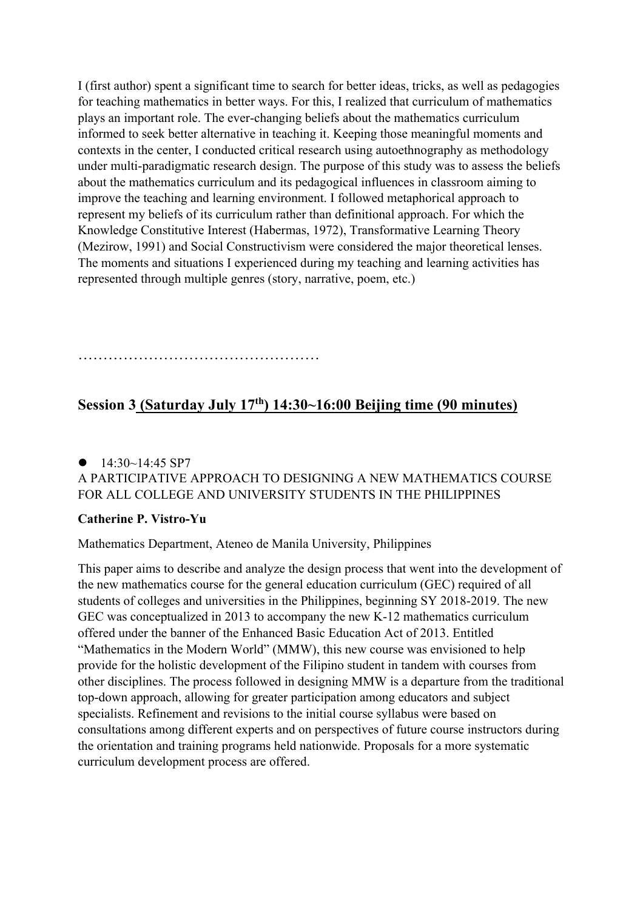I (first author) spent a significant time to search for better ideas, tricks, as well as pedagogies for teaching mathematics in better ways. For this, I realized that curriculum of mathematics plays an important role. The ever-changing beliefs about the mathematics curriculum informed to seek better alternative in teaching it. Keeping those meaningful moments and contexts in the center, I conducted critical research using autoethnography as methodology under multi-paradigmatic research design. The purpose of this study was to assess the beliefs about the mathematics curriculum and its pedagogical influences in classroom aiming to improve the teaching and learning environment. I followed metaphorical approach to represent my beliefs of its curriculum rather than definitional approach. For which the Knowledge Constitutive Interest (Habermas, 1972), Transformative Learning Theory (Mezirow, 1991) and Social Constructivism were considered the major theoretical lenses. The moments and situations I experienced during my teaching and learning activities has represented through multiple genres (story, narrative, poem, etc.)

…………………………………………………………………………………………

# **Session 3 (Saturday July 17th) 14:30~16:00 Beijing time (90 minutes)**

### $\bullet$  14:30~14:45 SP7 A PARTICIPATIVE APPROACH TO DESIGNING A NEW MATHEMATICS COURSE FOR ALL COLLEGE AND UNIVERSITY STUDENTS IN THE PHILIPPINES

### **Catherine P. Vistro-Yu**

Mathematics Department, Ateneo de Manila University, Philippines

This paper aims to describe and analyze the design process that went into the development of the new mathematics course for the general education curriculum (GEC) required of all students of colleges and universities in the Philippines, beginning SY 2018-2019. The new GEC was conceptualized in 2013 to accompany the new K-12 mathematics curriculum offered under the banner of the Enhanced Basic Education Act of 2013. Entitled "Mathematics in the Modern World" (MMW), this new course was envisioned to help provide for the holistic development of the Filipino student in tandem with courses from other disciplines. The process followed in designing MMW is a departure from the traditional top-down approach, allowing for greater participation among educators and subject specialists. Refinement and revisions to the initial course syllabus were based on consultations among different experts and on perspectives of future course instructors during the orientation and training programs held nationwide. Proposals for a more systematic curriculum development process are offered.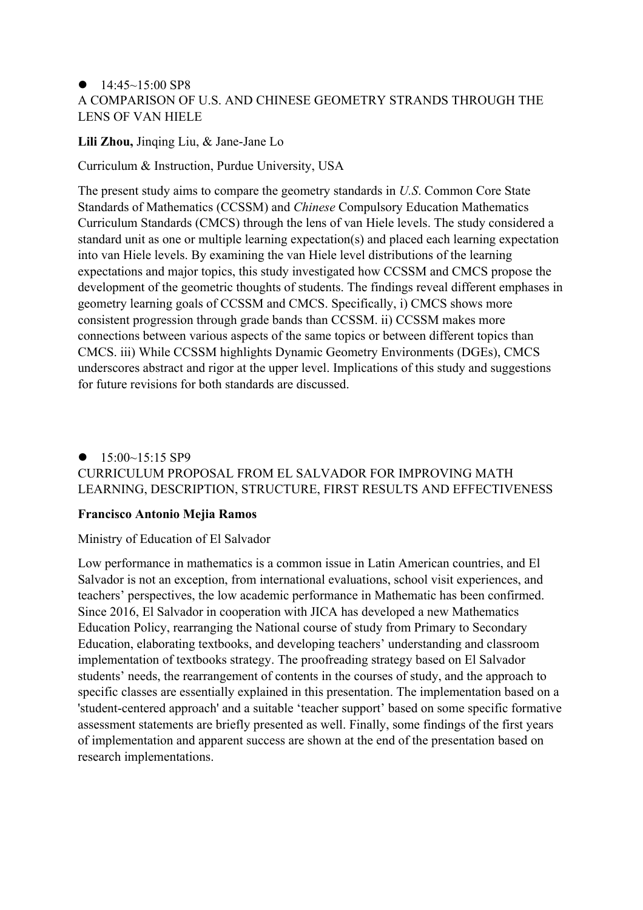### $\bullet$  14:45~15:00 SP8 A COMPARISON OF U.S. AND CHINESE GEOMETRY STRANDS THROUGH THE LENS OF VAN HIELE

#### **Lili Zhou,** Jinqing Liu, & Jane-Jane Lo

Curriculum & Instruction, Purdue University, USA

The present study aims to compare the geometry standards in *U.S*. Common Core State Standards of Mathematics (CCSSM) and *Chinese* Compulsory Education Mathematics Curriculum Standards (CMCS) through the lens of van Hiele levels. The study considered a standard unit as one or multiple learning expectation(s) and placed each learning expectation into van Hiele levels. By examining the van Hiele level distributions of the learning expectations and major topics, this study investigated how CCSSM and CMCS propose the development of the geometric thoughts of students. The findings reveal different emphases in geometry learning goals of CCSSM and CMCS. Specifically, i) CMCS shows more consistent progression through grade bands than CCSSM. ii) CCSSM makes more connections between various aspects of the same topics or between different topics than CMCS. iii) While CCSSM highlights Dynamic Geometry Environments (DGEs), CMCS underscores abstract and rigor at the upper level. Implications of this study and suggestions for future revisions for both standards are discussed.

### $\bullet$  15:00~15:15 SP9 CURRICULUM PROPOSAL FROM EL SALVADOR FOR IMPROVING MATH LEARNING, DESCRIPTION, STRUCTURE, FIRST RESULTS AND EFFECTIVENESS

### **Francisco Antonio Mejia Ramos**

#### Ministry of Education of El Salvador

Low performance in mathematics is a common issue in Latin American countries, and El Salvador is not an exception, from international evaluations, school visit experiences, and teachers' perspectives, the low academic performance in Mathematic has been confirmed. Since 2016, El Salvador in cooperation with JICA has developed a new Mathematics Education Policy, rearranging the National course of study from Primary to Secondary Education, elaborating textbooks, and developing teachers' understanding and classroom implementation of textbooks strategy. The proofreading strategy based on El Salvador students' needs, the rearrangement of contents in the courses of study, and the approach to specific classes are essentially explained in this presentation. The implementation based on a 'student-centered approach' and a suitable 'teacher support' based on some specific formative assessment statements are briefly presented as well. Finally, some findings of the first years of implementation and apparent success are shown at the end of the presentation based on research implementations.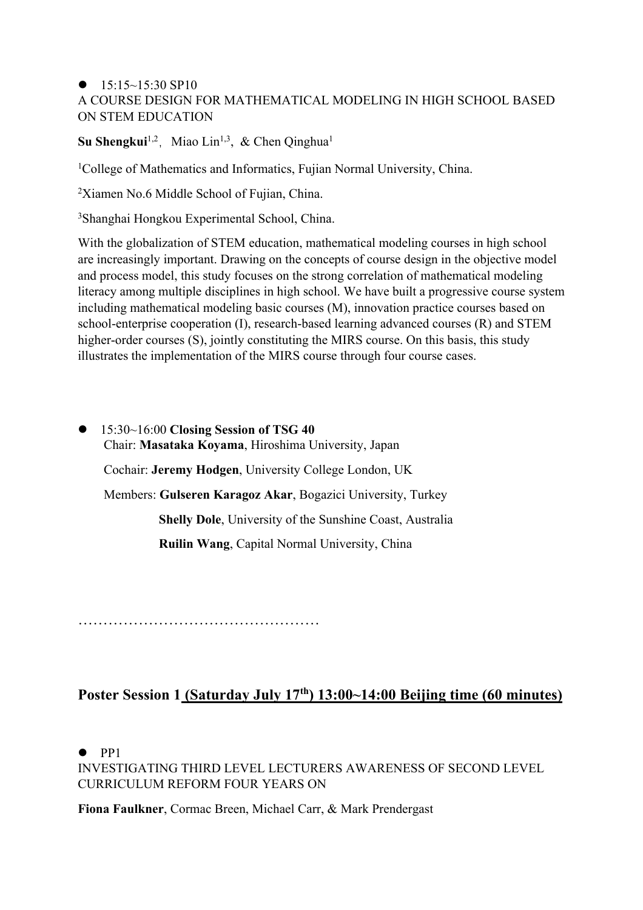### $\bullet$  15:15~15:30 SP10 A COURSE DESIGN FOR MATHEMATICAL MODELING IN HIGH SCHOOL BASED ON STEM EDUCATION

### **Su Shengkui**<sup>1,2</sup>, Miao Lin<sup>1,3</sup>, & Chen Qinghua<sup>1</sup>

<sup>1</sup>College of Mathematics and Informatics, Fujian Normal University, China.

<sup>2</sup>Xiamen No.6 Middle School of Fujian, China.

3 Shanghai Hongkou Experimental School, China.

With the globalization of STEM education, mathematical modeling courses in high school are increasingly important. Drawing on the concepts of course design in the objective model and process model, this study focuses on the strong correlation of mathematical modeling literacy among multiple disciplines in high school. We have built a progressive course system including mathematical modeling basic courses (M), innovation practice courses based on school-enterprise cooperation (I), research-based learning advanced courses (R) and STEM higher-order courses (S), jointly constituting the MIRS course. On this basis, this study illustrates the implementation of the MIRS course through four course cases.

l 15:30~16:00 **Closing Session of TSG 40** Chair: **Masataka Koyama**, Hiroshima University, Japan Cochair: **Jeremy Hodgen**, University College London, UK Members: **Gulseren Karagoz Akar**, Bogazici University, Turkey **Shelly Dole**, University of the Sunshine Coast, Australia **Ruilin Wang**, Capital Normal University, China

…………………………………………

## **Poster Session 1 (Saturday July 17th) 13:00~14:00 Beijing time (60 minutes)**

 $\bullet$  PP1

INVESTIGATING THIRD LEVEL LECTURERS AWARENESS OF SECOND LEVEL CURRICULUM REFORM FOUR YEARS ON

**Fiona Faulkner**, Cormac Breen, Michael Carr, & Mark Prendergast